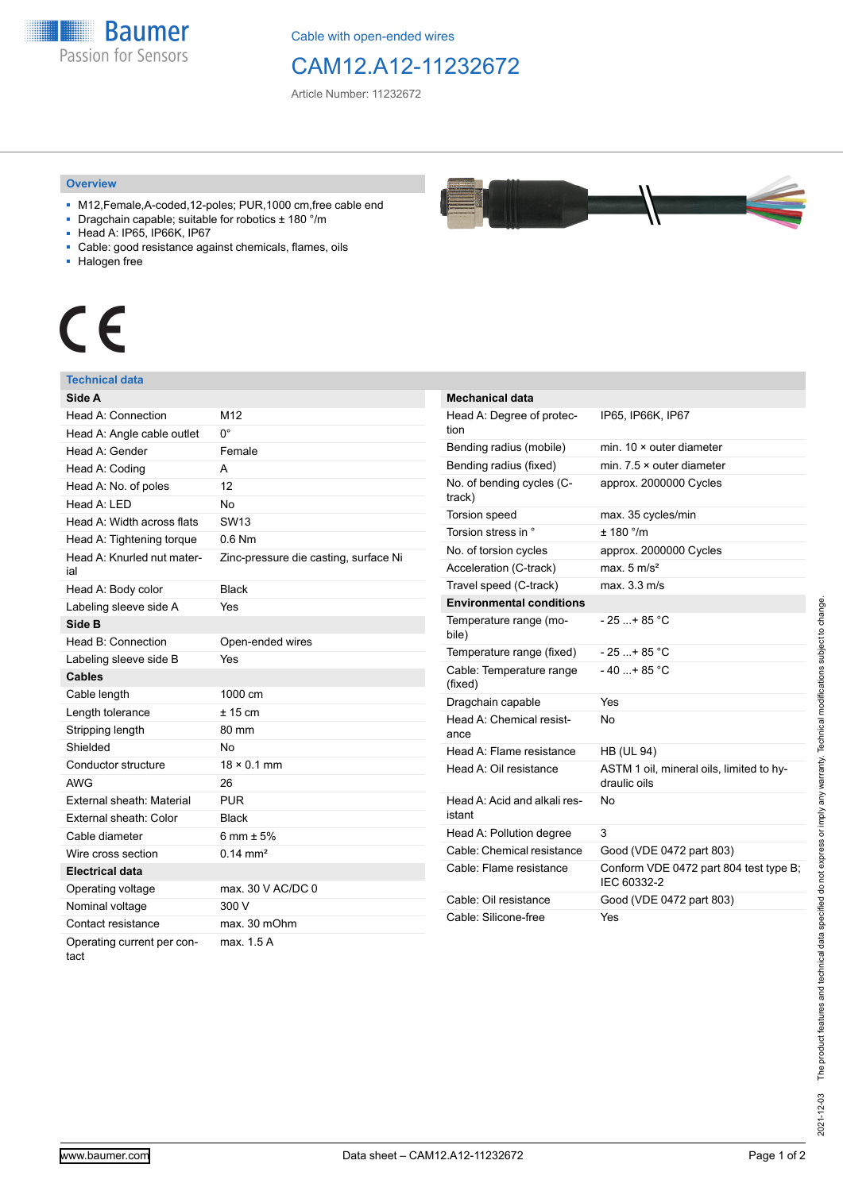**Baumer** Passion for Sensors

Cable with open-ended wires

## CAM12.A12-11232672

Article Number: 11232672

## **Overview**

- M12,Female,A-coded,12-poles; PUR,1000 cm,free cable end
- Dragchain capable; suitable for robotics ± 180 °/m
- Head A: IP65, IP66K, IP67
- Cable: good resistance against chemicals, flames, oils
- Halogen free



## **Technical data**

| Side A                             |                                       |
|------------------------------------|---------------------------------------|
| Head A: Connection                 | M12                                   |
| Head A: Angle cable outlet         | 0°                                    |
| Head A: Gender                     | Female                                |
| Head A: Coding                     | A                                     |
| Head A: No. of poles               | 12                                    |
| Head A: LED                        | No                                    |
| Head A: Width across flats         | SW <sub>13</sub>                      |
| Head A: Tightening torque          | $0.6$ Nm                              |
| Head A: Knurled nut mater-<br>ial  | Zinc-pressure die casting, surface Ni |
| Head A: Body color                 | <b>Black</b>                          |
| Labeling sleeve side A             | Yes                                   |
| Side B                             |                                       |
| Head B: Connection                 | Open-ended wires                      |
| Labeling sleeve side B             | Yes                                   |
| <b>Cables</b>                      |                                       |
| Cable length                       | 1000 cm                               |
| Length tolerance                   | $± 15$ cm                             |
| Stripping length                   | 80 mm                                 |
| Shielded                           | No                                    |
| Conductor structure                | $18 \times 0.1$ mm                    |
| <b>AWG</b>                         | 26                                    |
| External sheath: Material          | <b>PUR</b>                            |
| External sheath: Color             | <b>Black</b>                          |
| Cable diameter                     | 6 mm $\pm$ 5%                         |
| Wire cross section                 | $0.14 \text{ mm}^2$                   |
| <b>Electrical data</b>             |                                       |
| Operating voltage                  | max. 30 V AC/DC 0                     |
| Nominal voltage                    | 300 V                                 |
| Contact resistance                 | max. 30 mOhm                          |
| Operating current per con-<br>tact | max. 1.5 A                            |



| Mechanical data                        |                                                          |
|----------------------------------------|----------------------------------------------------------|
| Head A: Degree of protec-<br>tion      | IP65, IP66K, IP67                                        |
| Bending radius (mobile)                | min. $10 \times$ outer diameter                          |
| Bending radius (fixed)                 | min. $7.5 \times$ outer diameter                         |
| No. of bending cycles (C-<br>track)    | approx. 2000000 Cycles                                   |
| Torsion speed                          | max. 35 cycles/min                                       |
| Torsion stress in °                    | ± 180 °/m                                                |
| No. of torsion cycles                  | approx. 2000000 Cycles                                   |
| Acceleration (C-track)                 | max. $5 \text{ m/s}^2$                                   |
| Travel speed (C-track)                 | max. 3.3 m/s                                             |
| <b>Environmental conditions</b>        |                                                          |
| Temperature range (mo-<br>bile)        | - 25 + 85 °C                                             |
| Temperature range (fixed)              | $-25+85 °C$                                              |
| Cable: Temperature range<br>(fixed)    | $-40+85$ °C                                              |
| Dragchain capable                      | Yes                                                      |
| Head A: Chemical resist-<br>ance       | N٥                                                       |
| Head A: Flame resistance               | <b>HB (UL 94)</b>                                        |
| Head A: Oil resistance                 | ASTM 1 oil, mineral oils, limited to hy-<br>draulic oils |
| Head A: Acid and alkali res-<br>istant | No                                                       |
| Head A: Pollution degree               | 3                                                        |
| Cable: Chemical resistance             | Good (VDE 0472 part 803)                                 |
| Cable: Flame resistance                | Conform VDE 0472 part 804 test type B;<br>IEC 60332-2    |
| Cable: Oil resistance                  | Good (VDE 0472 part 803)                                 |
| Cable: Silicone-free                   | Yes                                                      |